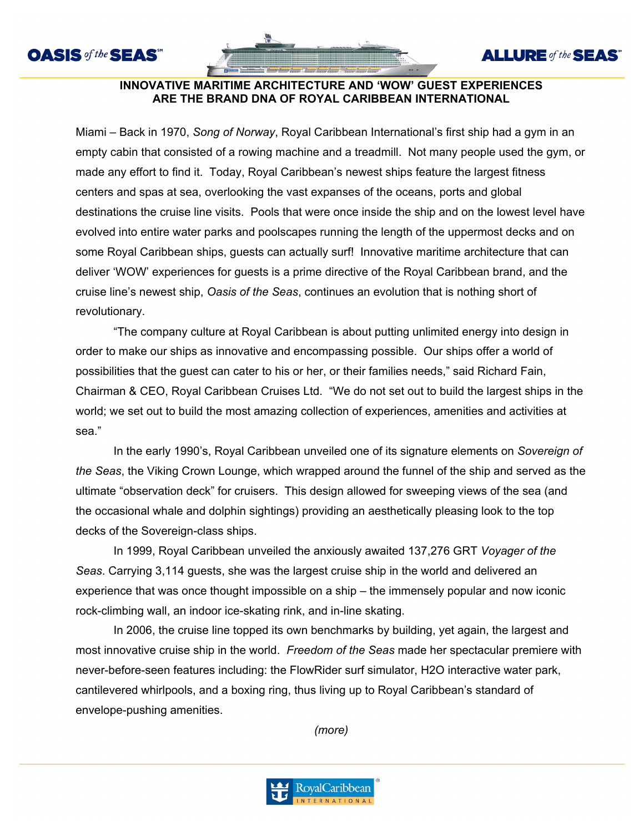



## **INNOVATIVE MARITIME ARCHITECTURE AND 'WOW' GUEST EXPERIENCES ARE THE BRAND DNA OF ROYAL CARIBBEAN INTERNATIONAL**

Miami – Back in 1970, *Song of Norway*, Royal Caribbean International's first ship had a gym in an empty cabin that consisted of a rowing machine and a treadmill. Not many people used the gym, or made any effort to find it. Today, Royal Caribbean's newest ships feature the largest fitness centers and spas at sea, overlooking the vast expanses of the oceans, ports and global destinations the cruise line visits. Pools that were once inside the ship and on the lowest level have evolved into entire water parks and poolscapes running the length of the uppermost decks and on some Royal Caribbean ships, guests can actually surf! Innovative maritime architecture that can deliver 'WOW' experiences for guests is a prime directive of the Royal Caribbean brand, and the cruise line's newest ship, *Oasis of the Seas*, continues an evolution that is nothing short of revolutionary.

"The company culture at Royal Caribbean is about putting unlimited energy into design in order to make our ships as innovative and encompassing possible. Our ships offer a world of possibilities that the guest can cater to his or her, or their families needs," said Richard Fain, Chairman & CEO, Royal Caribbean Cruises Ltd. "We do not set out to build the largest ships in the world; we set out to build the most amazing collection of experiences, amenities and activities at sea."

In the early 1990's, Royal Caribbean unveiled one of its signature elements on *Sovereign of the Seas*, the Viking Crown Lounge, which wrapped around the funnel of the ship and served as the ultimate "observation deck" for cruisers. This design allowed for sweeping views of the sea (and the occasional whale and dolphin sightings) providing an aesthetically pleasing look to the top decks of the Sovereign-class ships.

In 1999, Royal Caribbean unveiled the anxiously awaited 137,276 GRT *Voyager of the Seas*. Carrying 3,114 guests, she was the largest cruise ship in the world and delivered an experience that was once thought impossible on a ship – the immensely popular and now iconic rock-climbing wall, an indoor ice-skating rink, and in-line skating.

In 2006, the cruise line topped its own benchmarks by building, yet again, the largest and most innovative cruise ship in the world. *Freedom of the Seas* made her spectacular premiere with never-before-seen features including: the FlowRider surf simulator, H2O interactive water park, cantilevered whirlpools, and a boxing ring, thus living up to Royal Caribbean's standard of envelope-pushing amenities.

*(more)*